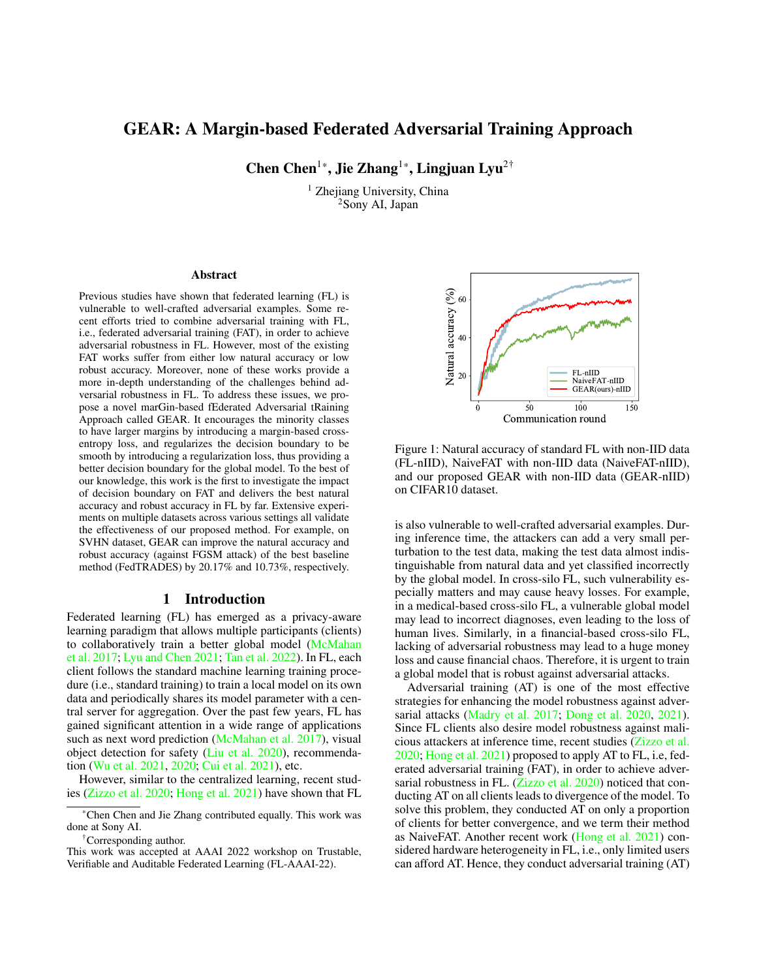# <span id="page-0-1"></span>GEAR: A Margin-based Federated Adversarial Training Approach

Chen Chen<sup>1\*</sup>, Jie Zhang<sup>1\*</sup>, Lingjuan Lyu<sup>2†</sup>

<sup>1</sup> Zhejiang University, China <sup>2</sup>Sony AI, Japan

#### Abstract

Previous studies have shown that federated learning (FL) is vulnerable to well-crafted adversarial examples. Some recent efforts tried to combine adversarial training with FL, i.e., federated adversarial training (FAT), in order to achieve adversarial robustness in FL. However, most of the existing FAT works suffer from either low natural accuracy or low robust accuracy. Moreover, none of these works provide a more in-depth understanding of the challenges behind adversarial robustness in FL. To address these issues, we propose a novel marGin-based fEderated Adversarial tRaining Approach called GEAR. It encourages the minority classes to have larger margins by introducing a margin-based crossentropy loss, and regularizes the decision boundary to be smooth by introducing a regularization loss, thus providing a better decision boundary for the global model. To the best of our knowledge, this work is the first to investigate the impact of decision boundary on FAT and delivers the best natural accuracy and robust accuracy in FL by far. Extensive experiments on multiple datasets across various settings all validate the effectiveness of our proposed method. For example, on SVHN dataset, GEAR can improve the natural accuracy and robust accuracy (against FGSM attack) of the best baseline method (FedTRADES) by 20.17% and 10.73%, respectively.

## 1 Introduction

Federated learning (FL) has emerged as a privacy-aware learning paradigm that allows multiple participants (clients) to collaboratively train a better global model [\(McMahan](#page-7-0) [et al.](#page-7-0) [2017;](#page-7-0) [Lyu and Chen](#page-7-1) [2021;](#page-7-1) [Tan et al.](#page-7-2) [2022\)](#page-7-2). In FL, each client follows the standard machine learning training procedure (i.e., standard training) to train a local model on its own data and periodically shares its model parameter with a central server for aggregation. Over the past few years, FL has gained significant attention in a wide range of applications such as next word prediction [\(McMahan et al.](#page-7-0) [2017\)](#page-7-0), visual object detection for safety [\(Liu et al.](#page-7-3) [2020\)](#page-7-3), recommendation [\(Wu et al.](#page-7-4) [2021,](#page-7-4) [2020;](#page-7-5) [Cui et al.](#page-7-6) [2021\)](#page-7-6), etc.

However, similar to the centralized learning, recent studies [\(Zizzo et al.](#page-7-7) [2020;](#page-7-7) [Hong et al.](#page-7-8) [2021\)](#page-7-8) have shown that FL

<span id="page-0-0"></span>

Figure 1: Natural accuracy of standard FL with non-IID data (FL-nIID), NaiveFAT with non-IID data (NaiveFAT-nIID), and our proposed GEAR with non-IID data (GEAR-nIID) on CIFAR10 dataset.

is also vulnerable to well-crafted adversarial examples. During inference time, the attackers can add a very small perturbation to the test data, making the test data almost indistinguishable from natural data and yet classified incorrectly by the global model. In cross-silo FL, such vulnerability especially matters and may cause heavy losses. For example, in a medical-based cross-silo FL, a vulnerable global model may lead to incorrect diagnoses, even leading to the loss of human lives. Similarly, in a financial-based cross-silo FL, lacking of adversarial robustness may lead to a huge money loss and cause financial chaos. Therefore, it is urgent to train a global model that is robust against adversarial attacks.

Adversarial training (AT) is one of the most effective strategies for enhancing the model robustness against adversarial attacks [\(Madry et al.](#page-7-9) [2017;](#page-7-9) [Dong et al.](#page-7-10) [2020,](#page-7-10) [2021\)](#page-7-11). Since FL clients also desire model robustness against malicious attackers at inference time, recent studies [\(Zizzo et al.](#page-7-7) [2020;](#page-7-7) [Hong et al.](#page-7-8) [2021\)](#page-7-8) proposed to apply AT to FL, i.e, federated adversarial training (FAT), in order to achieve adver-sarial robustness in FL. [\(Zizzo et al.](#page-7-7) [2020\)](#page-7-7) noticed that conducting AT on all clients leads to divergence of the model. To solve this problem, they conducted AT on only a proportion of clients for better convergence, and we term their method as NaiveFAT. Another recent work [\(Hong et al.](#page-7-8) [2021\)](#page-7-8) considered hardware heterogeneity in FL, i.e., only limited users can afford AT. Hence, they conduct adversarial training (AT)

<sup>\*</sup>Chen Chen and Jie Zhang contributed equally. This work was done at Sony AI.

<sup>†</sup>Corresponding author.

This work was accepted at AAAI 2022 workshop on Trustable, Verifiable and Auditable Federated Learning (FL-AAAI-22).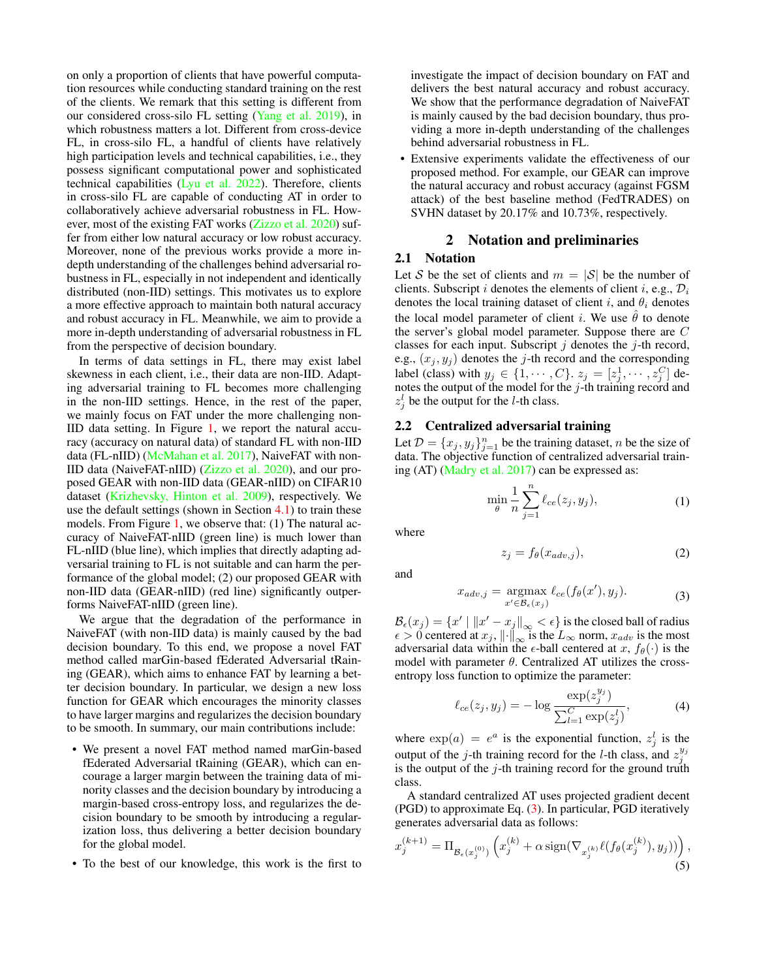<span id="page-1-2"></span>on only a proportion of clients that have powerful computation resources while conducting standard training on the rest of the clients. We remark that this setting is different from our considered cross-silo FL setting [\(Yang et al.](#page-7-12) [2019\)](#page-7-12), in which robustness matters a lot. Different from cross-device FL, in cross-silo FL, a handful of clients have relatively high participation levels and technical capabilities, i.e., they possess significant computational power and sophisticated technical capabilities [\(Lyu et al.](#page-7-13) [2022\)](#page-7-13). Therefore, clients in cross-silo FL are capable of conducting AT in order to collaboratively achieve adversarial robustness in FL. However, most of the existing FAT works [\(Zizzo et al.](#page-7-7) [2020\)](#page-7-7) suffer from either low natural accuracy or low robust accuracy. Moreover, none of the previous works provide a more indepth understanding of the challenges behind adversarial robustness in FL, especially in not independent and identically distributed (non-IID) settings. This motivates us to explore a more effective approach to maintain both natural accuracy and robust accuracy in FL. Meanwhile, we aim to provide a more in-depth understanding of adversarial robustness in FL from the perspective of decision boundary.

In terms of data settings in FL, there may exist label skewness in each client, i.e., their data are non-IID. Adapting adversarial training to FL becomes more challenging in the non-IID settings. Hence, in the rest of the paper, we mainly focus on FAT under the more challenging non-IID data setting. In Figure [1,](#page-0-0) we report the natural accuracy (accuracy on natural data) of standard FL with non-IID data (FL-nIID) [\(McMahan et al.](#page-7-0) [2017\)](#page-7-0), NaiveFAT with non-IID data (NaiveFAT-nIID) [\(Zizzo et al.](#page-7-7) [2020\)](#page-7-7), and our proposed GEAR with non-IID data (GEAR-nIID) on CIFAR10 dataset [\(Krizhevsky, Hinton et al.](#page-7-14) [2009\)](#page-7-14), respectively. We use the default settings (shown in Section [4.1\)](#page-4-0) to train these models. From Figure [1,](#page-0-0) we observe that: (1) The natural accuracy of NaiveFAT-nIID (green line) is much lower than FL-nIID (blue line), which implies that directly adapting adversarial training to FL is not suitable and can harm the performance of the global model; (2) our proposed GEAR with non-IID data (GEAR-nIID) (red line) significantly outperforms NaiveFAT-nIID (green line).

We argue that the degradation of the performance in NaiveFAT (with non-IID data) is mainly caused by the bad decision boundary. To this end, we propose a novel FAT method called marGin-based fEderated Adversarial tRaining (GEAR), which aims to enhance FAT by learning a better decision boundary. In particular, we design a new loss function for GEAR which encourages the minority classes to have larger margins and regularizes the decision boundary to be smooth. In summary, our main contributions include:

- We present a novel FAT method named marGin-based fEderated Adversarial tRaining (GEAR), which can encourage a larger margin between the training data of minority classes and the decision boundary by introducing a margin-based cross-entropy loss, and regularizes the decision boundary to be smooth by introducing a regularization loss, thus delivering a better decision boundary for the global model.
- To the best of our knowledge, this work is the first to

investigate the impact of decision boundary on FAT and delivers the best natural accuracy and robust accuracy. We show that the performance degradation of NaiveFAT is mainly caused by the bad decision boundary, thus providing a more in-depth understanding of the challenges behind adversarial robustness in FL.

• Extensive experiments validate the effectiveness of our proposed method. For example, our GEAR can improve the natural accuracy and robust accuracy (against FGSM attack) of the best baseline method (FedTRADES) on SVHN dataset by 20.17% and 10.73%, respectively.

# 2 Notation and preliminaries

# 2.1 Notation

Let S be the set of clients and  $m = |\mathcal{S}|$  be the number of clients. Subscript i denotes the elements of client i, e.g.,  $\mathcal{D}_i$ denotes the local training dataset of client i, and  $\theta_i$  denotes the local model parameter of client i. We use  $\hat{\theta}$  to denote the server's global model parameter. Suppose there are C classes for each input. Subscript  $j$  denotes the  $j$ -th record, e.g.,  $(x_j, y_j)$  denotes the j-th record and the corresponding label (class) with  $y_j \in \{1, \dots, C\}$ .  $z_j = [z_j^1, \dots, z_j^C]$  denotes the output of the model for the  $j$ -th training record and  $z_j^l$  be the output for the *l*-th class.

# 2.2 Centralized adversarial training

Let  $\mathcal{D} = \{x_j, y_j\}_{j=1}^n$  be the training dataset, *n* be the size of data. The objective function of centralized adversarial training (AT) [\(Madry et al.](#page-7-9) [2017\)](#page-7-9) can be expressed as:

$$
\min_{\theta} \frac{1}{n} \sum_{j=1}^{n} \ell_{ce}(z_j, y_j), \tag{1}
$$

where

$$
z_j = f_{\theta}(x_{adv,j}), \tag{2}
$$

<span id="page-1-0"></span>and

$$
x_{adv,j} = \underset{x' \in \mathcal{B}_e(x_j)}{\operatorname{argmax}} \ell_{ce}(f_{\theta}(x'), y_j). \tag{3}
$$

 $\mathcal{B}_{\epsilon}(x_j) = \{x' \mid ||x' - x_j||_{\infty} < \epsilon\}$  is the closed ball of radius  $\epsilon > 0$  centered at  $x_j$ ,  $\left\| \cdot \right\|_{\infty}$  is the L<sub>∞</sub> norm,  $x_{adv}$  is the most adversarial data within the  $\epsilon$ -ball centered at x,  $f_{\theta}(\cdot)$  is the model with parameter  $\theta$ . Centralized AT utilizes the crossentropy loss function to optimize the parameter:

<span id="page-1-1"></span>
$$
\ell_{ce}(z_j, y_j) = -\log \frac{\exp(z_j^{y_j})}{\sum_{l=1}^C \exp(z_j^l)},
$$
\n(4)

where  $\exp(a) = e^a$  is the exponential function,  $z_j^l$  is the output of the j-th training record for the l-th class, and  $z_j^{y_j}$ is the output of the  $j$ -th training record for the ground truth class.

A standard centralized AT uses projected gradient decent (PGD) to approximate Eq. [\(3\)](#page-1-0). In particular, PGD iteratively generates adversarial data as follows:

$$
x_j^{(k+1)} = \Pi_{\mathcal{B}_{\epsilon}(x_j^{(0)})} \left( x_j^{(k)} + \alpha \operatorname{sign}(\nabla_{x_j^{(k)}} \ell(f_{\theta}(x_j^{(k)}), y_j)) \right),\tag{5}
$$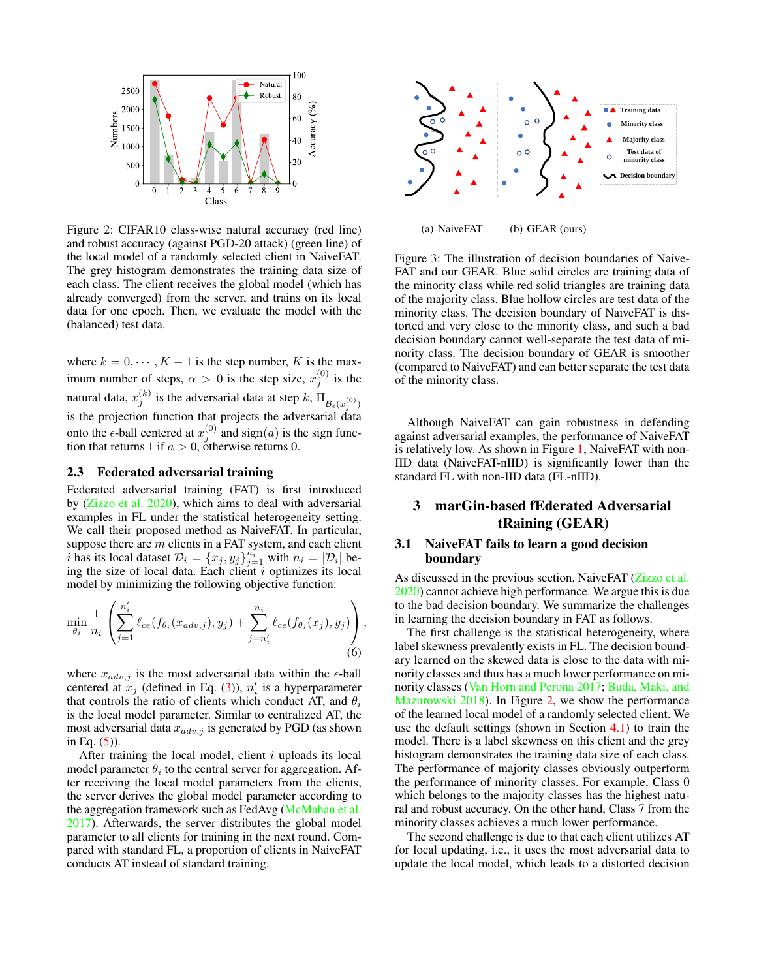<span id="page-2-3"></span><span id="page-2-0"></span>

Figure 2: CIFAR10 class-wise natural accuracy (red line) and robust accuracy (against PGD-20 attack) (green line) of the local model of a randomly selected client in NaiveFAT. The grey histogram demonstrates the training data size of each class. The client receives the global model (which has already converged) from the server, and trains on its local data for one epoch. Then, we evaluate the model with the (balanced) test data.

where  $k = 0, \dots, K - 1$  is the step number, K is the maximum number of steps,  $\alpha > 0$  is the step size,  $x_j^{(0)}$  is the natural data,  $x_j^{(k)}$  is the adversarial data at step k,  $\Pi_{\mathcal{B}_{\epsilon}(x_j^{(0)})}$ is the projection function that projects the adversarial data onto the  $\epsilon$ -ball centered at  $x_j^{(0)}$  and  $sign(a)$  is the sign function that returns 1 if  $a > 0$ , otherwise returns 0.

# 2.3 Federated adversarial training

Federated adversarial training (FAT) is first introduced by [\(Zizzo et al.](#page-7-7) [2020\)](#page-7-7), which aims to deal with adversarial examples in FL under the statistical heterogeneity setting. We call their proposed method as NaiveFAT. In particular, suppose there are  $m$  clients in a FAT system, and each client i has its local dataset  $\mathcal{D}_i = \{x_j, y_j\}_{j=1}^{n_i}$  with  $n_i = |\mathcal{D}_i|$  being the size of local data. Each client  $i$  optimizes its local model by minimizing the following objective function:

$$
\min_{\theta_i} \frac{1}{n_i} \left( \sum_{j=1}^{n'_i} \ell_{ce}(f_{\theta_i}(x_{adv,j}), y_j) + \sum_{j=n'_i}^{n_i} \ell_{ce}(f_{\theta_i}(x_j), y_j) \right),
$$
\n(6)

where  $x_{adv,j}$  is the most adversarial data within the  $\epsilon$ -ball centered at  $x_j$  (defined in Eq. [\(3\)](#page-1-0)),  $n'_i$  is a hyperparameter that controls the ratio of clients which conduct AT, and  $\theta_i$ is the local model parameter. Similar to centralized AT, the most adversarial data  $x_{adv,j}$  is generated by PGD (as shown in Eq. [\(5\)](#page-1-1)).

After training the local model, client  $i$  uploads its local model parameter  $\theta_i$  to the central server for aggregation. After receiving the local model parameters from the clients, the server derives the global model parameter according to the aggregation framework such as FedAvg [\(McMahan et al.](#page-7-0) [2017\)](#page-7-0). Afterwards, the server distributes the global model parameter to all clients for training in the next round. Compared with standard FL, a proportion of clients in NaiveFAT conducts AT instead of standard training.

<span id="page-2-1"></span>

<span id="page-2-2"></span>(a) NaiveFAT (b) GEAR (ours)

Figure 3: The illustration of decision boundaries of Naive-FAT and our GEAR. Blue solid circles are training data of the minority class while red solid triangles are training data of the majority class. Blue hollow circles are test data of the minority class. The decision boundary of NaiveFAT is distorted and very close to the minority class, and such a bad decision boundary cannot well-separate the test data of minority class. The decision boundary of GEAR is smoother (compared to NaiveFAT) and can better separate the test data of the minority class.

Although NaiveFAT can gain robustness in defending against adversarial examples, the performance of NaiveFAT is relatively low. As shown in Figure [1,](#page-0-0) NaiveFAT with non-IID data (NaiveFAT-nIID) is significantly lower than the standard FL with non-IID data (FL-nIID).

# 3 marGin-based fEderated Adversarial tRaining (GEAR)

# 3.1 NaiveFAT fails to learn a good decision boundary

As discussed in the previous section, NaiveFAT [\(Zizzo et al.](#page-7-7) [2020\)](#page-7-7) cannot achieve high performance. We argue this is due to the bad decision boundary. We summarize the challenges in learning the decision boundary in FAT as follows.

The first challenge is the statistical heterogeneity, where label skewness prevalently exists in FL. The decision boundary learned on the skewed data is close to the data with minority classes and thus has a much lower performance on minority classes [\(Van Horn and Perona](#page-7-15) [2017;](#page-7-15) [Buda, Maki, and](#page-6-0) [Mazurowski](#page-6-0) [2018\)](#page-6-0). In Figure [2,](#page-2-0) we show the performance of the learned local model of a randomly selected client. We use the default settings (shown in Section [4.1\)](#page-4-0) to train the model. There is a label skewness on this client and the grey histogram demonstrates the training data size of each class. The performance of majority classes obviously outperform the performance of minority classes. For example, Class 0 which belongs to the majority classes has the highest natural and robust accuracy. On the other hand, Class 7 from the minority classes achieves a much lower performance.

The second challenge is due to that each client utilizes AT for local updating, i.e., it uses the most adversarial data to update the local model, which leads to a distorted decision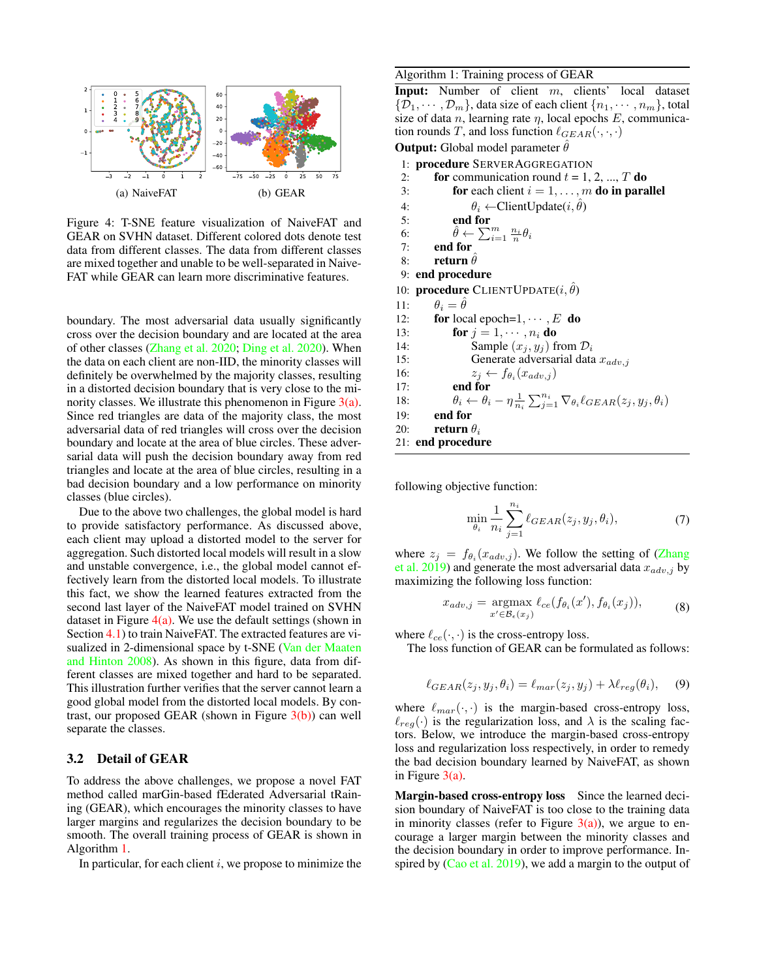<span id="page-3-4"></span><span id="page-3-0"></span>

<span id="page-3-3"></span>Figure 4: T-SNE feature visualization of NaiveFAT and GEAR on SVHN dataset. Different colored dots denote test data from different classes. The data from different classes are mixed together and unable to be well-separated in Naive-FAT while GEAR can learn more discriminative features.

boundary. The most adversarial data usually significantly cross over the decision boundary and are located at the area of other classes [\(Zhang et al.](#page-7-16) [2020;](#page-7-16) [Ding et al.](#page-7-17) [2020\)](#page-7-17). When the data on each client are non-IID, the minority classes will definitely be overwhelmed by the majority classes, resulting in a distorted decision boundary that is very close to the minority classes. We illustrate this phenomenon in Figure  $3(a)$ . Since red triangles are data of the majority class, the most adversarial data of red triangles will cross over the decision boundary and locate at the area of blue circles. These adversarial data will push the decision boundary away from red triangles and locate at the area of blue circles, resulting in a bad decision boundary and a low performance on minority classes (blue circles).

Due to the above two challenges, the global model is hard to provide satisfactory performance. As discussed above, each client may upload a distorted model to the server for aggregation. Such distorted local models will result in a slow and unstable convergence, i.e., the global model cannot effectively learn from the distorted local models. To illustrate this fact, we show the learned features extracted from the second last layer of the NaiveFAT model trained on SVHN dataset in Figure  $4(a)$ . We use the default settings (shown in Section [4.1\)](#page-4-0) to train NaiveFAT. The extracted features are visualized in 2-dimensional space by t-SNE [\(Van der Maaten](#page-7-18) [and Hinton](#page-7-18) [2008\)](#page-7-18). As shown in this figure, data from different classes are mixed together and hard to be separated. This illustration further verifies that the server cannot learn a good global model from the distorted local models. By contrast, our proposed GEAR (shown in Figure  $3(b)$ ) can well separate the classes.

#### 3.2 Detail of GEAR

To address the above challenges, we propose a novel FAT method called marGin-based fEderated Adversarial tRaining (GEAR), which encourages the minority classes to have larger margins and regularizes the decision boundary to be smooth. The overall training process of GEAR is shown in Algorithm [1.](#page-3-1)

In particular, for each client  $i$ , we propose to minimize the

# <span id="page-3-1"></span>Algorithm 1: Training process of GEAR

**Input:** Number of client  $m$ , clients' local dataset  $\{\mathcal{D}_1, \cdots, \mathcal{D}_m\}$ , data size of each client  $\{n_1, \cdots, n_m\}$ , total size of data *n*, learning rate  $\eta$ , local epochs *E*, communication rounds T, and loss function  $\ell_{GEAR}(\cdot, \cdot, \cdot)$ 

**Output:** Global model parameter  $\hat{\theta}$ 

- 1: procedure SERVERAGGREGATION
- 2: for communication round  $t = 1, 2, ..., T$  do
- 3: for each client  $i = 1, \ldots, m$  do in parallel 4:  $\theta_i \leftarrow \text{ClientUpdate}(i, \hat{\theta})$
- 5: end for
- 6:  $\hat{\theta} \leftarrow \sum_{i=1}^{m} \frac{n_i}{n} \theta_i$
- 7: end for
- 8: return  $\hat{\theta}$
- 9: end procedure
- 
- 10: **procedure** CLIENTUPDATE $(i, \hat{\theta})$
- 11:  $\theta_i = \hat{\theta}$ 12: for local epoch= $1, \cdots, E$  do
- 13: **for**  $j = 1, \dots, n_i$  **do**<br>14: **Sample**  $(x_i, y_i)$  **fi**
- 14: Sample  $(x_j, y_j)$  from  $\mathcal{D}_i$ <br>15: Generate adversarial data
- 15: Generate adversarial data  $x_{adv,j}$ <br>16:  $z_i \leftarrow f_{\theta} \cdot (x_{adv,j})$ 16:  $z_j \leftarrow f_{\theta_i}(x_{adv,j})$
- 17: end for
- 18:  $\theta_i \leftarrow \theta_i \eta \frac{1}{n_i} \sum_{j=1}^{n_i} \nabla_{\theta_i} \ell_{GEAR}(z_j, y_j, \theta_i)$
- 19: end for
- 20: return  $\theta_i$
- 21: end procedure

following objective function:

$$
\min_{\theta_i} \frac{1}{n_i} \sum_{j=1}^{n_i} \ell_{GEAR}(z_j, y_j, \theta_i),\tag{7}
$$

where  $z_j = f_{\theta_i}(x_{adv,j})$ . We follow the setting of [\(Zhang](#page-7-19) [et al.](#page-7-19) [2019\)](#page-7-19) and generate the most adversarial data  $x_{adv,j}$  by maximizing the following loss function:

$$
x_{adv,j} = \underset{x' \in \mathcal{B}_{\epsilon}(x_j)}{\operatorname{argmax}} \ell_{ce}(f_{\theta_i}(x'), f_{\theta_i}(x_j)),
$$
(8)

where  $\ell_{ce}(\cdot, \cdot)$  is the cross-entropy loss.

<span id="page-3-2"></span>The loss function of GEAR can be formulated as follows:

$$
\ell_{GEAR}(z_j, y_j, \theta_i) = \ell_{mar}(z_j, y_j) + \lambda \ell_{reg}(\theta_i), \quad (9)
$$

where  $\ell_{mar}(\cdot, \cdot)$  is the margin-based cross-entropy loss,  $\ell_{reg}(\cdot)$  is the regularization loss, and  $\lambda$  is the scaling factors. Below, we introduce the margin-based cross-entropy loss and regularization loss respectively, in order to remedy the bad decision boundary learned by NaiveFAT, as shown in Figure  $3(a)$ .

Margin-based cross-entropy loss Since the learned decision boundary of NaiveFAT is too close to the training data in minority classes (refer to Figure  $3(a)$ ), we argue to encourage a larger margin between the minority classes and the decision boundary in order to improve performance. In-spired by [\(Cao et al.](#page-6-1) [2019\)](#page-6-1), we add a margin to the output of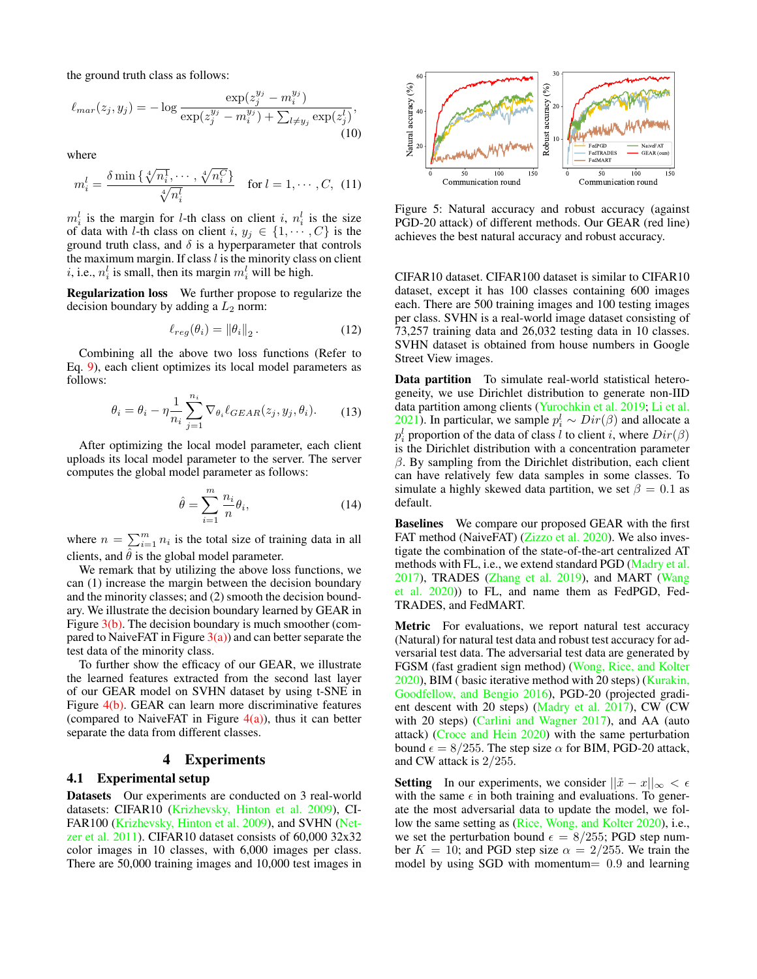<span id="page-4-2"></span>the ground truth class as follows:

$$
\ell_{mar}(z_j, y_j) = -\log \frac{\exp(z_j^{y_j} - m_i^{y_j})}{\exp(z_j^{y_j} - m_i^{y_j}) + \sum_{l \neq y_j} \exp(z_j^{l})},
$$
\n(10)

where

$$
m_i^l = \frac{\delta \min\left\{\sqrt[4]{n_i^1}, \cdots, \sqrt[4]{n_i^C}\right\}}{\sqrt[4]{n_i^l}} \quad \text{for } l = 1, \cdots, C, (11)
$$

 $m_i^l$  is the margin for *l*-th class on client *i*,  $n_i^l$  is the size of data with *l*-th class on client i,  $y_j \in \{1, \dots, C\}$  is the ground truth class, and  $\delta$  is a hyperparameter that controls the maximum margin. If class  $l$  is the minority class on client *i*, i.e.,  $n_i^l$  is small, then its margin  $m_i^l$  will be high.

Regularization loss We further propose to regularize the decision boundary by adding a  $L_2$  norm:

$$
\ell_{reg}(\theta_i) = \|\theta_i\|_2. \tag{12}
$$

Combining all the above two loss functions (Refer to Eq. [9\)](#page-3-2), each client optimizes its local model parameters as follows:

$$
\theta_i = \theta_i - \eta \frac{1}{n_i} \sum_{j=1}^{n_i} \nabla_{\theta_i} \ell_{GEAR}(z_j, y_j, \theta_i).
$$
 (13)

After optimizing the local model parameter, each client uploads its local model parameter to the server. The server computes the global model parameter as follows:

$$
\hat{\theta} = \sum_{i=1}^{m} \frac{n_i}{n} \theta_i,
$$
\n(14)

where  $n = \sum_{i=1}^{m} n_i$  is the total size of training data in all clients, and  $\hat{\theta}$  is the global model parameter.

We remark that by utilizing the above loss functions, we can (1) increase the margin between the decision boundary and the minority classes; and (2) smooth the decision boundary. We illustrate the decision boundary learned by GEAR in Figure  $3(b)$ . The decision boundary is much smoother (compared to NaiveFAT in Figure  $3(a)$ ) and can better separate the test data of the minority class.

To further show the efficacy of our GEAR, we illustrate the learned features extracted from the second last layer of our GEAR model on SVHN dataset by using t-SNE in Figure [4\(b\).](#page-3-3) GEAR can learn more discriminative features (compared to NaiveFAT in Figure  $4(a)$ ), thus it can better separate the data from different classes.

# 4 Experiments

### <span id="page-4-0"></span>4.1 Experimental setup

Datasets Our experiments are conducted on 3 real-world datasets: CIFAR10 [\(Krizhevsky, Hinton et al.](#page-7-14) [2009\)](#page-7-14), CI-FAR100 [\(Krizhevsky, Hinton et al.](#page-7-14) [2009\)](#page-7-14), and SVHN [\(Net](#page-7-20)[zer et al.](#page-7-20) [2011\)](#page-7-20). CIFAR10 dataset consists of 60,000 32x32 color images in 10 classes, with 6,000 images per class. There are 50,000 training images and 10,000 test images in

<span id="page-4-1"></span>

Figure 5: Natural accuracy and robust accuracy (against PGD-20 attack) of different methods. Our GEAR (red line) achieves the best natural accuracy and robust accuracy.

CIFAR10 dataset. CIFAR100 dataset is similar to CIFAR10 dataset, except it has 100 classes containing 600 images each. There are 500 training images and 100 testing images per class. SVHN is a real-world image dataset consisting of 73,257 training data and 26,032 testing data in 10 classes. SVHN dataset is obtained from house numbers in Google Street View images.

Data partition To simulate real-world statistical heterogeneity, we use Dirichlet distribution to generate non-IID data partition among clients [\(Yurochkin et al.](#page-7-21) [2019;](#page-7-21) [Li et al.](#page-7-22) [2021\)](#page-7-22). In particular, we sample  $p_i^l \sim Dir(\beta)$  and allocate a  $p_i^l$  proportion of the data of class l to client i, where  $Dir(\beta)$ is the Dirichlet distribution with a concentration parameter  $\beta$ . By sampling from the Dirichlet distribution, each client can have relatively few data samples in some classes. To simulate a highly skewed data partition, we set  $\beta = 0.1$  as default.

Baselines We compare our proposed GEAR with the first FAT method (NaiveFAT) [\(Zizzo et al.](#page-7-7) [2020\)](#page-7-7). We also investigate the combination of the state-of-the-art centralized AT methods with FL, i.e., we extend standard PGD [\(Madry et al.](#page-7-9) [2017\)](#page-7-9), TRADES [\(Zhang et al.](#page-7-19) [2019\)](#page-7-19), and MART [\(Wang](#page-7-23) [et al.](#page-7-23) [2020\)](#page-7-23)) to FL, and name them as FedPGD, Fed-TRADES, and FedMART.

Metric For evaluations, we report natural test accuracy (Natural) for natural test data and robust test accuracy for adversarial test data. The adversarial test data are generated by FGSM (fast gradient sign method) [\(Wong, Rice, and Kolter](#page-7-24) [2020\)](#page-7-24), BIM ( basic iterative method with 20 steps) [\(Kurakin,](#page-7-25) [Goodfellow, and Bengio](#page-7-25) [2016\)](#page-7-25), PGD-20 (projected gradient descent with 20 steps) [\(Madry et al.](#page-7-9) [2017\)](#page-7-9), CW (CW with 20 steps) [\(Carlini and Wagner](#page-6-2) [2017\)](#page-6-2), and AA (auto attack) [\(Croce and Hein](#page-6-3) [2020\)](#page-6-3) with the same perturbation bound  $\epsilon = 8/255$ . The step size  $\alpha$  for BIM, PGD-20 attack, and CW attack is 2/255.

**Setting** In our experiments, we consider  $||\tilde{x} - x||_{\infty} < \epsilon$ with the same  $\epsilon$  in both training and evaluations. To generate the most adversarial data to update the model, we follow the same setting as [\(Rice, Wong, and Kolter](#page-7-26) [2020\)](#page-7-26), i.e., we set the perturbation bound  $\epsilon = 8/255$ ; PGD step number  $K = 10$ ; and PGD step size  $\alpha = 2/255$ . We train the model by using SGD with momentum= 0.9 and learning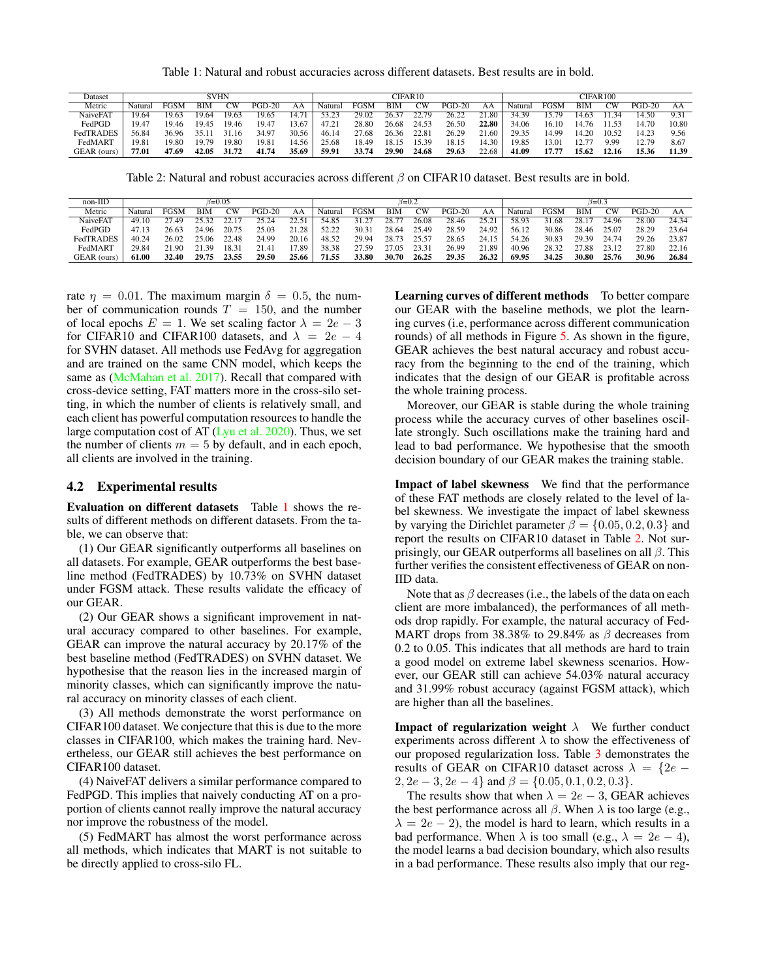<span id="page-5-2"></span>Table 1: Natural and robust accuracies across different datasets. Best results are in bold.

<span id="page-5-0"></span>

| Dataset            | <b>SVHN</b> |             |            |          | CIFAR10  |       |         |             |       | CIFAR100 |          |       |         |       |            |          |               |       |
|--------------------|-------------|-------------|------------|----------|----------|-------|---------|-------------|-------|----------|----------|-------|---------|-------|------------|----------|---------------|-------|
| Metric             | Natural     | <b>FGSM</b> | <b>BIN</b> | $\sim w$ | $PGD-20$ | AΑ    | Natural | <b>FGSM</b> | ВIМ   | CW       | $PGD-20$ | AA    | Natura. | FGSM  | <b>BIM</b> | $\sim w$ | <b>PGD-20</b> | AΑ    |
| NaiveFAT           | 19.64       | 19.63       | 19.64      | 19.63    | 19.65    | 4.71  | 53.23   | 29.02       | 26.37 | 22.79    | 26.22    | 21.80 | 34.39   | 15.79 | 14.63      | 134      | .4.50         | 9.31  |
| FedPGD             | 19.47       | 19.46       | 19.45      | 19.46    | 19.47    | 13.67 | 47.21   | 28.80       | 26.68 | 24.53    | 26.50    | 22.80 | 34.06   | 16.10 | 14.76      |          | .4.70         | 10.80 |
| FedTRADES          | 56.84       | 36.96       | 25.1       | 116      | 34.97    | 30.56 | 46.14   | 27.68       | 26.36 | 22.81    | 26.29    | 21.60 | 29.35   | 4.99  | 14.20      | 10.52    | .4.23         | 9.56  |
| FedMART            | 19.81       | 19.80       | 19.79      | 19.80    | 19.81    | 4.56  | 25.68   | 18.49       | 18.15 | 15.39    | 18.15    | 14.30 | 19.85   | .3.01 | 12.77      | 9.99     | 2. 70         | 8.67  |
| <b>GEAR</b> (ours) | 77.01       | 47.69       | 42.05      | 31.72    | 41.74    | 35.69 | 59.91   | 33.74       | 29.90 | 24.68    | 29.63    | 22.68 | 41.09   | 17.77 | 15.62      | 12.16    | 15.36         | 11.39 |

Table 2: Natural and robust accuracies across different  $\beta$  on CIFAR10 dataset. Best results are in bold.

<span id="page-5-1"></span>

| $non-III$          | 3=0.05         |                  |                |                           |          | $3=0.2$ |         |       |       |                       | 3=0.3    |           |         |       |            |                |          |       |
|--------------------|----------------|------------------|----------------|---------------------------|----------|---------|---------|-------|-------|-----------------------|----------|-----------|---------|-------|------------|----------------|----------|-------|
| Metric             | <b>Natural</b> | FGS <sub>N</sub> | <b>BIM</b>     | $\overline{\tau_{\rm W}}$ | $PGD-20$ | ΑA      | Natural | FGSM  | BIM   | $_{\text{\tiny{CW}}}$ | $PGD-20$ | AA        | Natural | FGSM  | <b>BIM</b> | $\overline{w}$ | $PGD-20$ | AA    |
| NaiveFAT           | 49.10          | 27.49            | 3 <sup>′</sup> |                           | 25.24    | 22.51   | 54.85   |       | 28.7  | 26.08                 | 28.46    | 25.21     | 58.93   | 31.68 | 28.17      | 24.96          | 28.00    | 24.34 |
| FedPGD             | 47.13          | 26.63            | 24.96          | 20.75                     | 25.03    | 21.28   | 52.22   | 30.31 | 28.64 | 25.49                 | 28.59    | 24.92     | 56.12   | 30.86 | 28.46      | 25.07          | 28.29    | 23.64 |
| FedTRADES          | 40.24          | 26.02            | 25.06          | 22.48                     | 24.99    | 20.16   | 48.52   | 29.94 | 28.7  | 25.57                 | 28.65    | 24.<br>15 | 54.26   | 30.83 | 29.39      | 24 74          | 29.26    | 23.87 |
| FedMART            | 29.84          | 21.90            | 39             | 1831                      | 2141     | 7.89    | 38.38   | 27.59 | 27.05 | 2331                  | 26.99    | 21.89     | 40.96   | 28.32 | 27.88      | 23. IO         | 27.80    | 22.16 |
| <b>GEAR</b> (ours) | 61.00          | 32.40            | 29.75          | 23.55                     | 29.50    | 25.66   | 71.55   | 33.80 | 30.70 | 26.25                 | 29.35    | 26.32     | 69.95   | 34.25 | 30.80      | 25.76          | 30.96    | 26.84 |

rate  $\eta = 0.01$ . The maximum margin  $\delta = 0.5$ , the number of communication rounds  $T = 150$ , and the number of local epochs  $E = 1$ . We set scaling factor  $\lambda = 2e - 3$ for CIFAR10 and CIFAR100 datasets, and  $\lambda = 2e - 4$ for SVHN dataset. All methods use FedAvg for aggregation and are trained on the same CNN model, which keeps the same as [\(McMahan et al.](#page-7-0) [2017\)](#page-7-0). Recall that compared with cross-device setting, FAT matters more in the cross-silo setting, in which the number of clients is relatively small, and each client has powerful computation resources to handle the large computation cost of AT [\(Lyu et al.](#page-7-27) [2020\)](#page-7-27). Thus, we set the number of clients  $m = 5$  by default, and in each epoch, all clients are involved in the training.

#### 4.2 Experimental results

Evaluation on different datasets Table [1](#page-5-0) shows the results of different methods on different datasets. From the table, we can observe that:

(1) Our GEAR significantly outperforms all baselines on all datasets. For example, GEAR outperforms the best baseline method (FedTRADES) by 10.73% on SVHN dataset under FGSM attack. These results validate the efficacy of our GEAR.

(2) Our GEAR shows a significant improvement in natural accuracy compared to other baselines. For example, GEAR can improve the natural accuracy by 20.17% of the best baseline method (FedTRADES) on SVHN dataset. We hypothesise that the reason lies in the increased margin of minority classes, which can significantly improve the natural accuracy on minority classes of each client.

(3) All methods demonstrate the worst performance on CIFAR100 dataset. We conjecture that this is due to the more classes in CIFAR100, which makes the training hard. Nevertheless, our GEAR still achieves the best performance on CIFAR100 dataset.

(4) NaiveFAT delivers a similar performance compared to FedPGD. This implies that naively conducting AT on a proportion of clients cannot really improve the natural accuracy nor improve the robustness of the model.

(5) FedMART has almost the worst performance across all methods, which indicates that MART is not suitable to be directly applied to cross-silo FL.

Learning curves of different methods To better compare our GEAR with the baseline methods, we plot the learning curves (i.e, performance across different communication rounds) of all methods in Figure [5.](#page-4-1) As shown in the figure, GEAR achieves the best natural accuracy and robust accuracy from the beginning to the end of the training, which indicates that the design of our GEAR is profitable across the whole training process.

Moreover, our GEAR is stable during the whole training process while the accuracy curves of other baselines oscillate strongly. Such oscillations make the training hard and lead to bad performance. We hypothesise that the smooth decision boundary of our GEAR makes the training stable.

Impact of label skewness We find that the performance of these FAT methods are closely related to the level of label skewness. We investigate the impact of label skewness by varying the Dirichlet parameter  $\beta = \{0.05, 0.2, 0.3\}$  and report the results on CIFAR10 dataset in Table [2.](#page-5-1) Not surprisingly, our GEAR outperforms all baselines on all  $\beta$ . This further verifies the consistent effectiveness of GEAR on non-IID data.

Note that as  $\beta$  decreases (i.e., the labels of the data on each client are more imbalanced), the performances of all methods drop rapidly. For example, the natural accuracy of Fed-MART drops from 38.38% to 29.84% as  $\beta$  decreases from 0.2 to 0.05. This indicates that all methods are hard to train a good model on extreme label skewness scenarios. However, our GEAR still can achieve 54.03% natural accuracy and 31.99% robust accuracy (against FGSM attack), which are higher than all the baselines.

**Impact of regularization weight**  $\lambda$  We further conduct experiments across different  $\lambda$  to show the effectiveness of our proposed regularization loss. Table [3](#page-6-4) demonstrates the results of GEAR on CIFAR10 dataset across  $\lambda = \{2e 2, 2e-3, 2e-4$ } and  $\beta = \{0.05, 0.1, 0.2, 0.3\}.$ 

The results show that when  $\lambda = 2e - 3$ , GEAR achieves the best performance across all  $\beta$ . When  $\lambda$  is too large (e.g.,  $\lambda = 2e - 2$ , the model is hard to learn, which results in a bad performance. When  $\lambda$  is too small (e.g.,  $\lambda = 2e - 4$ ), the model learns a bad decision boundary, which also results in a bad performance. These results also imply that our reg-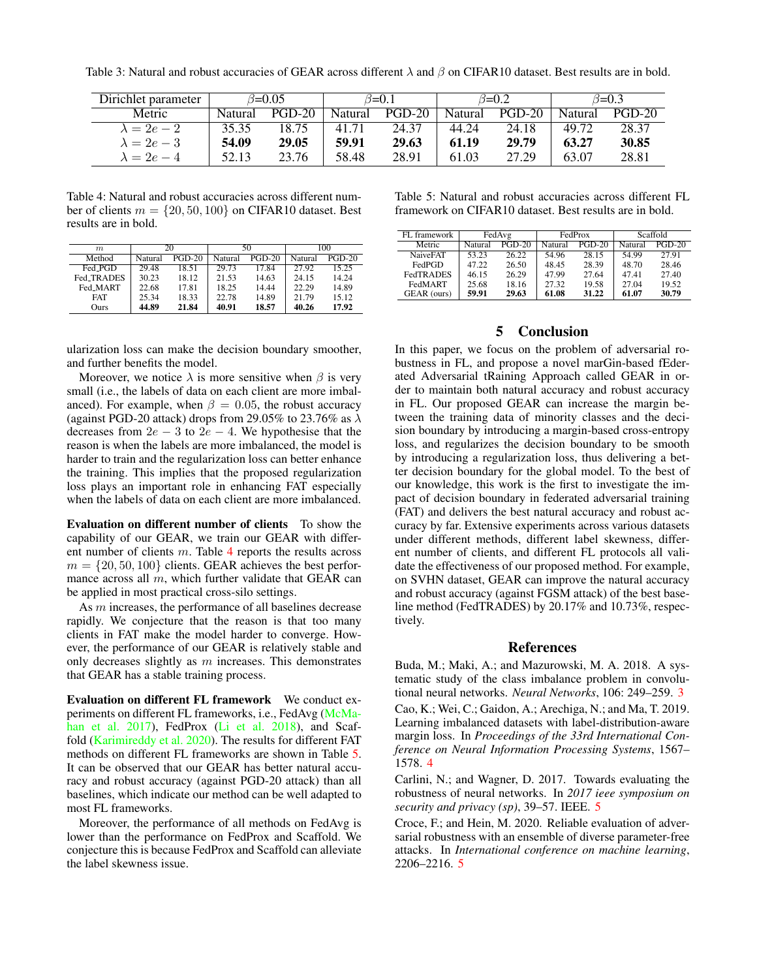<span id="page-6-7"></span><span id="page-6-4"></span>Table 3: Natural and robust accuracies of GEAR across different  $\lambda$  and  $\beta$  on CIFAR10 dataset. Best results are in bold.

| Dirichlet parameter | $\beta$ =0.05 |          |         | $\beta = 0.1$ |                | $\beta = 0.2$ | $\beta$ =0.3 |          |  |
|---------------------|---------------|----------|---------|---------------|----------------|---------------|--------------|----------|--|
| <b>Metric</b>       | Natural       | $PGD-20$ | Natural | $PGD-20$      | <b>Natural</b> | $PGD-20$      | Natural      | $PGD-20$ |  |
| $\lambda = 2e - 2$  | 35.35         | 18.75    | 41.71   | 24.37         | 44.24          | 24.18         | 49.72        | 28.37    |  |
| $\lambda = 2e - 3$  | 54.09         | 29.05    | 59.91   | 29.63         | 61.19          | 29.79         | 63.27        | 30.85    |  |
| $\lambda = 2e - 4$  | 52.13         | 23.76    | 58.48   | 28.91         | 61.03          | 27.29         | 63.07        | 28.81    |  |

<span id="page-6-5"></span>Table 4: Natural and robust accuracies across different number of clients  $m = \{20, 50, 100\}$  on CIFAR10 dataset. Best results are in bold.

| m          |         | 20       |         | 50       | 100     |          |  |
|------------|---------|----------|---------|----------|---------|----------|--|
| Method     | Natural | $PGD-20$ | Natural | $PGD-20$ | Natural | $PGD-20$ |  |
| Fed_PGD    | 29.48   | 18.51    | 29.73   | 17.84    | 27.92   | 15.25    |  |
| Fed_TRADES | 30.23   | 18.12    | 21.53   | 14.63    | 24.15   | 14.24    |  |
| Fed_MART   | 22.68   | 17.81    | 18.25   | 14.44    | 22.29   | 14.89    |  |
| <b>FAT</b> | 25.34   | 18.33    | 22.78   | 14.89    | 21.79   | 15.12    |  |
| Ours       | 44.89   | 21.84    | 40.91   | 18.57    | 40.26   | 17.92    |  |

ularization loss can make the decision boundary smoother, and further benefits the model.

Moreover, we notice  $\lambda$  is more sensitive when  $\beta$  is very small (i.e., the labels of data on each client are more imbalanced). For example, when  $\beta = 0.05$ , the robust accuracy (against PGD-20 attack) drops from 29.05% to 23.76% as  $\lambda$ decreases from  $2e - 3$  to  $2e - 4$ . We hypothesise that the reason is when the labels are more imbalanced, the model is harder to train and the regularization loss can better enhance the training. This implies that the proposed regularization loss plays an important role in enhancing FAT especially when the labels of data on each client are more imbalanced.

Evaluation on different number of clients To show the capability of our GEAR, we train our GEAR with different number of clients m. Table [4](#page-6-5) reports the results across  $m = \{20, 50, 100\}$  clients. GEAR achieves the best performance across all  $m$ , which further validate that GEAR can be applied in most practical cross-silo settings.

As *m* increases, the performance of all baselines decrease rapidly. We conjecture that the reason is that too many clients in FAT make the model harder to converge. However, the performance of our GEAR is relatively stable and only decreases slightly as  $m$  increases. This demonstrates that GEAR has a stable training process.

Evaluation on different FL framework We conduct experiments on different FL frameworks, i.e., FedAvg [\(McMa](#page-7-0)[han et al.](#page-7-0) [2017\)](#page-7-0), FedProx [\(Li et al.](#page-7-28) [2018\)](#page-7-28), and Scaffold [\(Karimireddy et al.](#page-7-29) [2020\)](#page-7-29). The results for different FAT methods on different FL frameworks are shown in Table [5.](#page-6-6) It can be observed that our GEAR has better natural accuracy and robust accuracy (against PGD-20 attack) than all baselines, which indicate our method can be well adapted to most FL frameworks.

Moreover, the performance of all methods on FedAvg is lower than the performance on FedProx and Scaffold. We conjecture this is because FedProx and Scaffold can alleviate the label skewness issue.

<span id="page-6-6"></span>Table 5: Natural and robust accuracies across different FL framework on CIFAR10 dataset. Best results are in bold.

| FL framework     |         | FedAvg   |         | FedProx  | Scaffold |          |  |
|------------------|---------|----------|---------|----------|----------|----------|--|
| Metric           | Natural | $PGD-20$ | Natural | $PGD-20$ | Natural  | $PGD-20$ |  |
| <b>NaiveFAT</b>  | 53.23   | 26.22    | 54.96   | 28.15    | 54.99    | 27.91    |  |
| FedPGD           | 47.22   | 26.50    | 48.45   | 28.39    | 48.70    | 28.46    |  |
| <b>FedTRADES</b> | 46.15   | 26.29    | 47.99   | 27.64    | 47.41    | 27.40    |  |
| FedMART          | 25.68   | 18.16    | 27.32   | 19.58    | 27.04    | 19.52    |  |
| GEAR (ours)      | 59.91   | 29.63    | 61.08   | 31.22    | 61.07    | 30.79    |  |

# 5 Conclusion

In this paper, we focus on the problem of adversarial robustness in FL, and propose a novel marGin-based fEderated Adversarial tRaining Approach called GEAR in order to maintain both natural accuracy and robust accuracy in FL. Our proposed GEAR can increase the margin between the training data of minority classes and the decision boundary by introducing a margin-based cross-entropy loss, and regularizes the decision boundary to be smooth by introducing a regularization loss, thus delivering a better decision boundary for the global model. To the best of our knowledge, this work is the first to investigate the impact of decision boundary in federated adversarial training (FAT) and delivers the best natural accuracy and robust accuracy by far. Extensive experiments across various datasets under different methods, different label skewness, different number of clients, and different FL protocols all validate the effectiveness of our proposed method. For example, on SVHN dataset, GEAR can improve the natural accuracy and robust accuracy (against FGSM attack) of the best baseline method (FedTRADES) by 20.17% and 10.73%, respectively.

# References

<span id="page-6-0"></span>Buda, M.; Maki, A.; and Mazurowski, M. A. 2018. A systematic study of the class imbalance problem in convolutional neural networks. *Neural Networks*, 106: 249–259. [3](#page-2-3)

<span id="page-6-1"></span>Cao, K.; Wei, C.; Gaidon, A.; Arechiga, N.; and Ma, T. 2019. Learning imbalanced datasets with label-distribution-aware margin loss. In *Proceedings of the 33rd International Conference on Neural Information Processing Systems*, 1567– 1578. [4](#page-3-4)

<span id="page-6-2"></span>Carlini, N.; and Wagner, D. 2017. Towards evaluating the robustness of neural networks. In *2017 ieee symposium on security and privacy (sp)*, 39–57. IEEE. [5](#page-4-2)

<span id="page-6-3"></span>Croce, F.; and Hein, M. 2020. Reliable evaluation of adversarial robustness with an ensemble of diverse parameter-free attacks. In *International conference on machine learning*, 2206–2216. [5](#page-4-2)